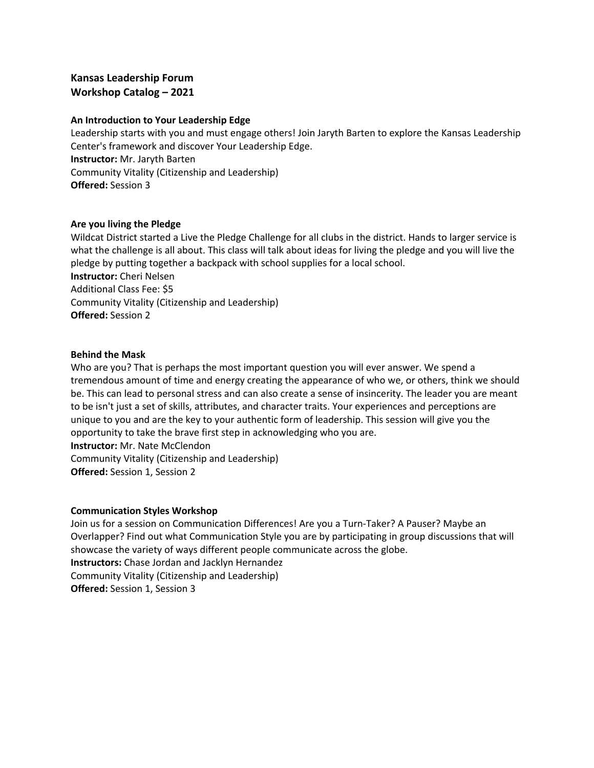# **Kansas Leadership Forum Workshop Catalog – 2021**

## **An Introduction to Your Leadership Edge**

Leadership starts with you and must engage others! Join Jaryth Barten to explore the Kansas Leadership Center's framework and discover Your Leadership Edge. **Instructor:** Mr. Jaryth Barten Community Vitality (Citizenship and Leadership) **Offered:** Session 3

## **Are you living the Pledge**

Wildcat District started a Live the Pledge Challenge for all clubs in the district. Hands to larger service is what the challenge is all about. This class will talk about ideas for living the pledge and you will live the pledge by putting together a backpack with school supplies for a local school. **Instructor:** Cheri Nelsen Additional Class Fee: \$5 Community Vitality (Citizenship and Leadership) **Offered:** Session 2

#### **Behind the Mask**

Who are you? That is perhaps the most important question you will ever answer. We spend a tremendous amount of time and energy creating the appearance of who we, or others, think we should be. This can lead to personal stress and can also create a sense of insincerity. The leader you are meant to be isn't just a set of skills, attributes, and character traits. Your experiences and perceptions are unique to you and are the key to your authentic form of leadership. This session will give you the opportunity to take the brave first step in acknowledging who you are. **Instructor:** Mr. Nate McClendon

Community Vitality (Citizenship and Leadership) **Offered:** Session 1, Session 2

#### **Communication Styles Workshop**

Join us for a session on Communication Differences! Are you a Turn-Taker? A Pauser? Maybe an Overlapper? Find out what Communication Style you are by participating in group discussions that will showcase the variety of ways different people communicate across the globe. **Instructors:** Chase Jordan and Jacklyn Hernandez Community Vitality (Citizenship and Leadership) **Offered:** Session 1, Session 3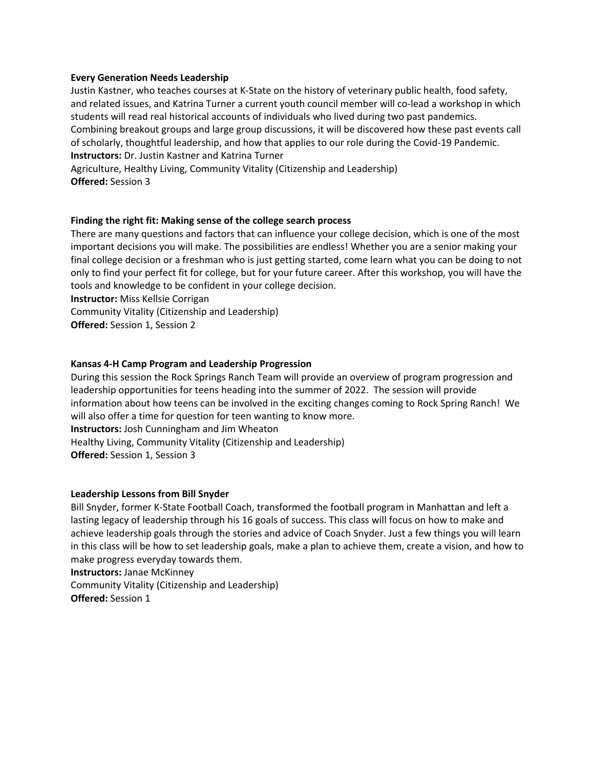## **Every Generation Needs Leadership**

Justin Kastner, who teaches courses at K-State on the history of veterinary public health, food safety, and related issues, and Katrina Turner a current youth council member will co-lead a workshop in which students will read real historical accounts of individuals who lived during two past pandemics. Combining breakout groups and large group discussions, it will be discovered how these past events call of scholarly, thoughtful leadership, and how that applies to our role during the Covid-19 Pandemic. **Instructors:** Dr. Justin Kastner and Katrina Turner

Agriculture, Healthy Living, Community Vitality (Citizenship and Leadership) **Offered:** Session 3

#### **Finding the right fit: Making sense of the college search process**

There are many questions and factors that can influence your college decision, which is one of the most important decisions you will make. The possibilities are endless! Whether you are a senior making your final college decision or a freshman who is just getting started, come learn what you can be doing to not only to find your perfect fit for college, but for your future career. After this workshop, you will have the tools and knowledge to be confident in your college decision.

**Instructor:** Miss Kellsie Corrigan

Community Vitality (Citizenship and Leadership)

**Offered:** Session 1, Session 2

## **Kansas 4-H Camp Program and Leadership Progression**

During this session the Rock Springs Ranch Team will provide an overview of program progression and leadership opportunities for teens heading into the summer of 2022. The session will provide information about how teens can be involved in the exciting changes coming to Rock Spring Ranch! We will also offer a time for question for teen wanting to know more. **Instructors:** Josh Cunningham and Jim Wheaton Healthy Living, Community Vitality (Citizenship and Leadership)

**Offered:** Session 1, Session 3

#### **Leadership Lessons from Bill Snyder**

Bill Snyder, former K-State Football Coach, transformed the football program in Manhattan and left a lasting legacy of leadership through his 16 goals of success. This class will focus on how to make and achieve leadership goals through the stories and advice of Coach Snyder. Just a few things you will learn in this class will be how to set leadership goals, make a plan to achieve them, create a vision, and how to make progress everyday towards them.

**Instructors:** Janae McKinney

Community Vitality (Citizenship and Leadership)

**Offered:** Session 1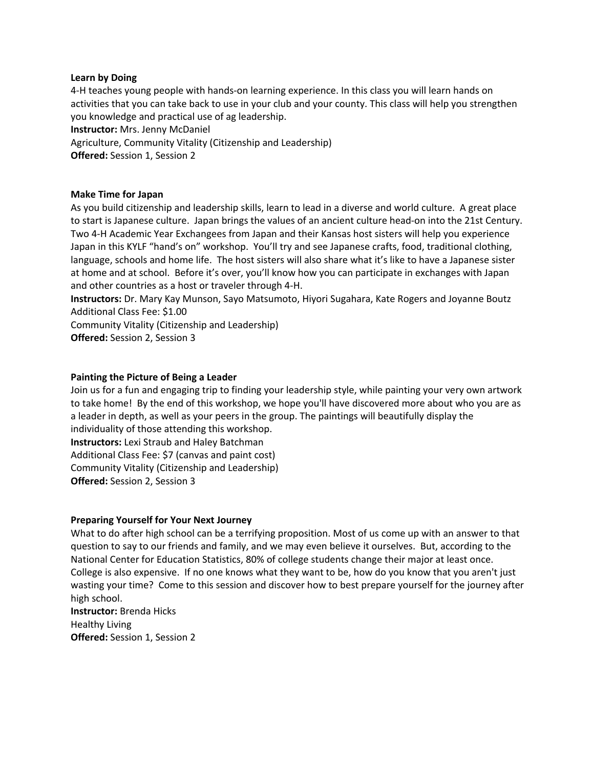## **Learn by Doing**

4-H teaches young people with hands-on learning experience. In this class you will learn hands on activities that you can take back to use in your club and your county. This class will help you strengthen you knowledge and practical use of ag leadership. **Instructor:** Mrs. Jenny McDaniel Agriculture, Community Vitality (Citizenship and Leadership) **Offered:** Session 1, Session 2

#### **Make Time for Japan**

As you build citizenship and leadership skills, learn to lead in a diverse and world culture. A great place to start is Japanese culture. Japan brings the values of an ancient culture head-on into the 21st Century. Two 4-H Academic Year Exchangees from Japan and their Kansas host sisters will help you experience Japan in this KYLF "hand's on" workshop. You'll try and see Japanese crafts, food, traditional clothing, language, schools and home life. The host sisters will also share what it's like to have a Japanese sister at home and at school. Before it's over, you'll know how you can participate in exchanges with Japan and other countries as a host or traveler through 4-H.

**Instructors:** Dr. Mary Kay Munson, Sayo Matsumoto, Hiyori Sugahara, Kate Rogers and Joyanne Boutz Additional Class Fee: \$1.00

Community Vitality (Citizenship and Leadership)

**Offered:** Session 2, Session 3

## **Painting the Picture of Being a Leader**

Join us for a fun and engaging trip to finding your leadership style, while painting your very own artwork to take home! By the end of this workshop, we hope you'll have discovered more about who you are as a leader in depth, as well as your peers in the group. The paintings will beautifully display the individuality of those attending this workshop. **Instructors:** Lexi Straub and Haley Batchman Additional Class Fee: \$7 (canvas and paint cost)

Community Vitality (Citizenship and Leadership)

**Offered:** Session 2, Session 3

#### **Preparing Yourself for Your Next Journey**

What to do after high school can be a terrifying proposition. Most of us come up with an answer to that question to say to our friends and family, and we may even believe it ourselves. But, according to the National Center for Education Statistics, 80% of college students change their major at least once. College is also expensive. If no one knows what they want to be, how do you know that you aren't just wasting your time? Come to this session and discover how to best prepare yourself for the journey after high school.

**Instructor:** Brenda Hicks Healthy Living **Offered:** Session 1, Session 2